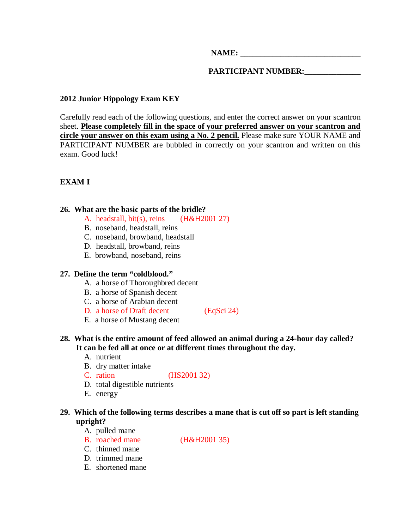**NAME:**  $\blacksquare$ 

**PARTICIPANT NUMBER:\_\_\_\_\_\_\_\_\_\_\_\_\_\_** 

# **2012 Junior Hippology Exam KEY**

Carefully read each of the following questions, and enter the correct answer on your scantron sheet. **Please completely fill in the space of your preferred answer on your scantron and circle your answer on this exam using a No. 2 pencil.** Please make sure YOUR NAME and PARTICIPANT NUMBER are bubbled in correctly on your scantron and written on this exam. Good luck!

**EXAM I** 

### **26. What are the basic parts of the bridle?**

- A. headstall, bit(s), reins (H&H2001 27)
- B. noseband, headstall, reins
- C. noseband, browband, headstall
- D. headstall, browband, reins
- E. browband, noseband, reins

## **27. Define the term "coldblood."**

- A. a horse of Thoroughbred decent
- B. a horse of Spanish decent
- C. a horse of Arabian decent
- D. a horse of Draft decent (EqSci 24)
- E. a horse of Mustang decent

# **28. What is the entire amount of feed allowed an animal during a 24-hour day called? It can be fed all at once or at different times throughout the day.**

- A. nutrient
- B. dry matter intake
- C. ration (HS2001 32)
- D. total digestible nutrients
- E. energy

# **29. Which of the following terms describes a mane that is cut off so part is left standing upright?**

- A. pulled mane
- B. roached mane (H&H2001 35)
- C. thinned mane
- D. trimmed mane
- E. shortened mane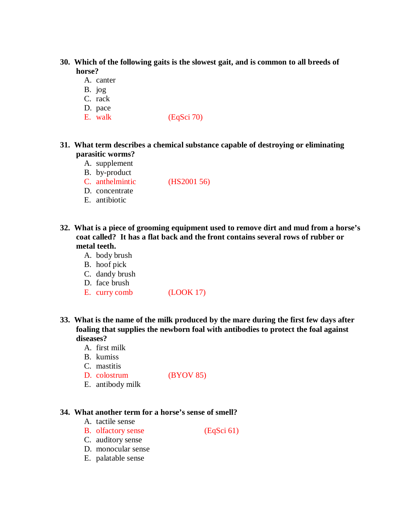- **30. Which of the following gaits is the slowest gait, and is common to all breeds of horse?** 
	- A. canter
	- B. jog
	- C. rack
	- D. pace
	- E. walk (EqSci 70)

# **31. What term describes a chemical substance capable of destroying or eliminating parasitic worms?**

- A. supplement
- B. by-product
- C. anthelmintic (HS2001 56)
- D. concentrate
- E. antibiotic
- **32. What is a piece of grooming equipment used to remove dirt and mud from a horse's coat called? It has a flat back and the front contains several rows of rubber or metal teeth.** 
	- A. body brush
	- B. hoof pick
	- C. dandy brush
	- D. face brush
	- E. curry comb (LOOK 17)
- **33. What is the name of the milk produced by the mare during the first few days after foaling that supplies the newborn foal with antibodies to protect the foal against diseases?** 
	- A. first milk
	- B. kumiss
	- C. mastitis
	- D. colostrum (BYOV 85)

E. antibody milk

#### **34. What another term for a horse's sense of smell?**

- A. tactile sense
- B. olfactory sense (EqSci 61)
- C. auditory sense
- D. monocular sense
- E. palatable sense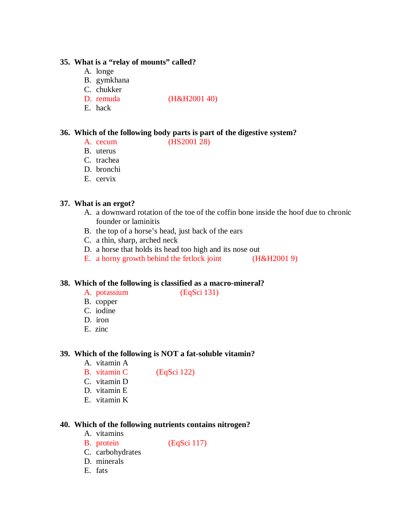### **35. What is a "relay of mounts" called?**

- A. longe
- B. gymkhana
- C. chukker
- D. remuda (H&H2001 40)
- E. hack

# **36. Which of the following body parts is part of the digestive system?**

- A. cecum (HS2001 28)
- B. uterus
- C. trachea
- D. bronchi
- E. cervix

# **37. What is an ergot?**

- A. a downward rotation of the toe of the coffin bone inside the hoof due to chronic founder or laminitis
- B. the top of a horse's head, just back of the ears
- C. a thin, sharp, arched neck
- D. a horse that holds its head too high and its nose out
- E. a horny growth behind the fetlock joint (H&H2001 9)

## **38. Which of the following is classified as a macro-mineral?**

- 
- A. potassium (EqSci 131)
- B. copper
- C. iodine
- D. iron
- E. zinc

# **39. Which of the following is NOT a fat-soluble vitamin?**

- A. vitamin A
- B. vitamin C (EqSci 122)
- C. vitamin D
- D. vitamin E
- E. vitamin K

## **40. Which of the following nutrients contains nitrogen?**

- A. vitamins
- B. protein (EqSci 117)
- C. carbohydrates
- D. minerals
- E. fats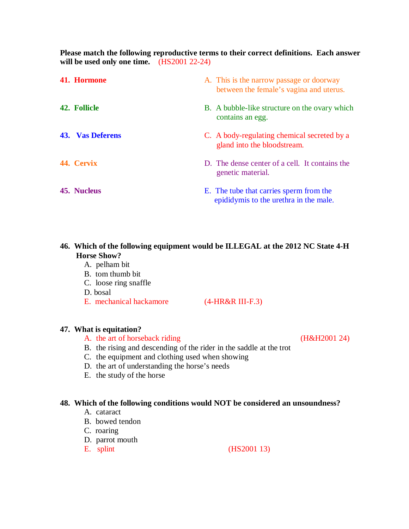**Please match the following reproductive terms to their correct definitions. Each answer will be used only one time.** (HS2001 22-24)

| 41. Hormone             | A. This is the narrow passage or doorway<br>between the female's vagina and uterus. |
|-------------------------|-------------------------------------------------------------------------------------|
| <b>42. Follicle</b>     | B. A bubble-like structure on the ovary which<br>contains an egg.                   |
| <b>43. Vas Deferens</b> | C. A body-regulating chemical secreted by a<br>gland into the bloodstream.          |
| 44. Cervix              | D. The dense center of a cell. It contains the<br>genetic material.                 |
| 45. Nucleus             | E. The tube that carries sperm from the<br>epididymis to the urethra in the male.   |

# **46. Which of the following equipment would be ILLEGAL at the 2012 NC State 4-H Horse Show?**

- A. pelham bit
- B. tom thumb bit
- C. loose ring snaffle
- D. bosal
- E. mechanical hackamore (4-HR&R III-F.3)

## **47. What is equitation?**

- A. the art of horseback riding (H&H2001 24)
- B. the rising and descending of the rider in the saddle at the trot
- C. the equipment and clothing used when showing
- D. the art of understanding the horse's needs
- E. the study of the horse

## **48. Which of the following conditions would NOT be considered an unsoundness?**

- A. cataract
- B. bowed tendon
- C. roaring
- D. parrot mouth
- 

E. splint (HS2001 13)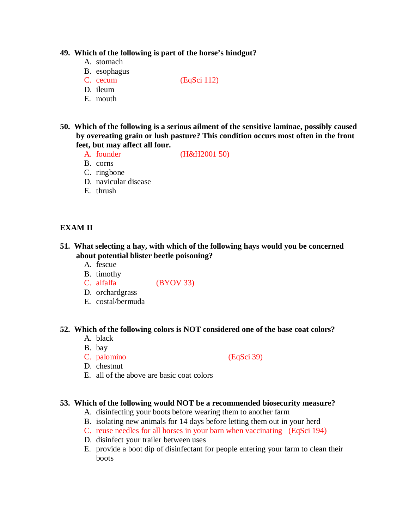#### **49. Which of the following is part of the horse's hindgut?**

- A. stomach
- B. esophagus
- C. cecum (EqSci 112)
- D. ileum
- E. mouth
- **50. Which of the following is a serious ailment of the sensitive laminae, possibly caused by overeating grain or lush pasture? This condition occurs most often in the front feet, but may affect all four.** 
	- A. founder (H&H2001 50)
	- B. corns
	- C. ringbone
	- D. navicular disease
	- E. thrush

# **EXAM II**

# **51. What selecting a hay, with which of the following hays would you be concerned about potential blister beetle poisoning?**

- A. fescue
- B. timothy
- C. alfalfa (BYOV 33)
- D. orchardgrass
- E. costal/bermuda

#### **52. Which of the following colors is NOT considered one of the base coat colors?**

- A. black
- B. bay
- C. palomino (EqSci 39)

- D. chestnut
- E. all of the above are basic coat colors

#### **53. Which of the following would NOT be a recommended biosecurity measure?**

- A. disinfecting your boots before wearing them to another farm
- B. isolating new animals for 14 days before letting them out in your herd
- C. reuse needles for all horses in your barn when vaccinating (EqSci 194)
- D. disinfect your trailer between uses
- E. provide a boot dip of disinfectant for people entering your farm to clean their boots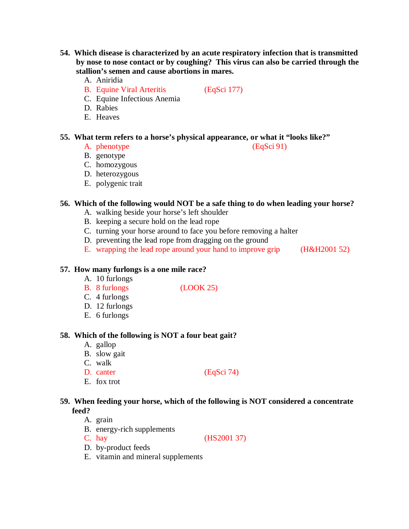- **54. Which disease is characterized by an acute respiratory infection that is transmitted by nose to nose contact or by coughing? This virus can also be carried through the stallion's semen and cause abortions in mares.** 
	- A. Aniridia
	- B. Equine Viral Arteritis (EqSci 177)
	- C. Equine Infectious Anemia
	- D. Rabies
	- E. Heaves

### **55. What term refers to a horse's physical appearance, or what it "looks like?"**

- A. phenotype (EqSci 91)
- B. genotype
- C. homozygous
- D. heterozygous
- E. polygenic trait

### **56. Which of the following would NOT be a safe thing to do when leading your horse?**

- A. walking beside your horse's left shoulder
- B. keeping a secure hold on the lead rope
- C. turning your horse around to face you before removing a halter
- D. preventing the lead rope from dragging on the ground
- E. wrapping the lead rope around your hand to improve grip (H&H2001 52)

### **57. How many furlongs is a one mile race?**

- A. 10 furlongs
- B. 8 furlongs (LOOK 25)
- C. 4 furlongs
- D. 12 furlongs
- E. 6 furlongs

#### **58. Which of the following is NOT a four beat gait?**

- A. gallop
- B. slow gait
- C. walk
- D. canter (EqSci 74)
- E. fox trot

# **59. When feeding your horse, which of the following is NOT considered a concentrate feed?**

- A. grain
- B. energy-rich supplements
- C. hay (HS2001 37)
- D. by-product feeds
- E. vitamin and mineral supplements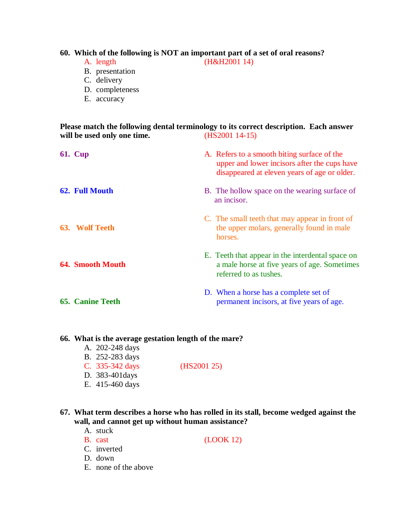## **60. Which of the following is NOT an important part of a set of oral reasons?**

A. length (H&H2001 14)

- B. presentation
- C. delivery
- D. completeness
- E. accuracy

**Please match the following dental terminology to its correct description. Each answer**  will be used only one time. **(HS2001 14-15)** 

| <b>61. Cup</b>          | A. Refers to a smooth biting surface of the<br>upper and lower incisors after the cups have<br>disappeared at eleven years of age or older. |
|-------------------------|---------------------------------------------------------------------------------------------------------------------------------------------|
| 62. Full Mouth          | B. The hollow space on the wearing surface of<br>an incisor.                                                                                |
| 63. Wolf Teeth          | C. The small teeth that may appear in front of<br>the upper molars, generally found in male<br>horses.                                      |
| <b>64. Smooth Mouth</b> | E. Teeth that appear in the interdental space on<br>a male horse at five years of age. Sometimes<br>referred to as tushes.                  |
| <b>65. Canine Teeth</b> | D. When a horse has a complete set of<br>permanent incisors, at five years of age.                                                          |

#### **66. What is the average gestation length of the mare?**

- A. 202-248 days
- B. 252-283 days
- C. 335-342 days (HS2001 25)
- D. 383-401days
- E. 415-460 days

# **67. What term describes a horse who has rolled in its stall, become wedged against the wall, and cannot get up without human assistance?**

- A. stuck
- B. cast (LOOK 12)

C. inverted

- D. down
- E. none of the above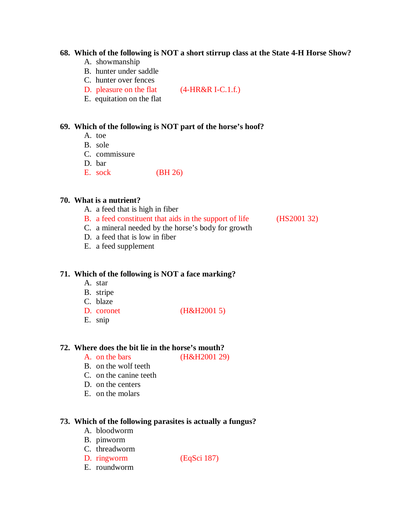#### **68. Which of the following is NOT a short stirrup class at the State 4-H Horse Show?**

- A. showmanship
- B. hunter under saddle
- C. hunter over fences
- D. pleasure on the flat (4-HR&R I-C.1.f.)
- E. equitation on the flat

## **69. Which of the following is NOT part of the horse's hoof?**

- A. toe
- B. sole
- C. commissure
- D. bar
- E. sock (BH 26)

## **70. What is a nutrient?**

- A. a feed that is high in fiber
- B. a feed constituent that aids in the support of life (HS2001 32)
- C. a mineral needed by the horse's body for growth
- D. a feed that is low in fiber
- E. a feed supplement

## **71. Which of the following is NOT a face marking?**

- A. star
- B. stripe
- C. blaze
- D. coronet (H&H2001 5)
- E. snip

# **72. Where does the bit lie in the horse's mouth?**

A. on the bars (H&H2001 29)

- B. on the wolf teeth
- C. on the canine teeth
- D. on the centers
- E. on the molars

#### **73. Which of the following parasites is actually a fungus?**

- A. bloodworm
- B. pinworm
- C. threadworm
- D. ringworm (EqSci 187)
- E. roundworm